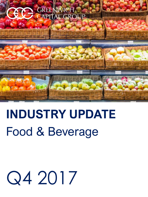## GREENWICH AL **CAPITAL GROUP**



## **INDUSTRY UPDATE**  Food & Beverage

# Q4 2017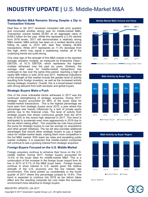## **INDUSTRY UPDATE |** U.S. Middle-Market M&A

#### **Middle-Market M&A Remains Strong Despite a Dip in Transaction Volume**

Deal flow in Q4 2017 remained consistent with prior quarters and concluded another strong year for middle-market M&A. Transaction volume totaled 25,561 at an aggregate value of \$168.2 billion for the year. While this represents a 3.3% decline from 2016 levels, 2017 still demonstrated a relatively strong M&A market. M&A activity has been on a modest decline since hitting its peak in 2014 with deal flow totaling 28,804 transactions. While 2017 represents an 11.3% decrease from this high, which may signal a weakening market, all of the underlying trends are quite strong.

One clear sign of the strength of this M&A market is the reported average valuation multiple, as measured by Enterprise Value / EBITDA, of 10.7x EBITDA, which represents the highest multiple witnessed over the past six years. Similarly, the average deal value for middle-market transactions has continued to rise over the same time period, reaching a high of nearly \$66 million in both 2016 and 2017. Additional indications of the strength of this market include the greater level of activity resulting from foreign investors, as well as the increased activity among strategic investors. Overall, this is a broad-based market with strong demand from both domestic and global buyers.

#### **Strategic Buyers Make a Push**

One of the more noticeable trends witnessed in 2017 was the continued strengthening of strategic acquirers. During 2017, strategic buyers accounted for 68% of the buyer base for middle-market transactions. This is the highest percentage we have seen from strategic buyers since 2010, a year where this percentage was heavily influenced by a lack of private equity activity due to the financial crisis. The level of activity from strategic buyers has shown continuous growth from the 2014 lows of 62% to the recent high observed in 2017. This trend is anticipated to accelerate even more aggressively in 2018 due to the tax reform taking effect. The corporate tax cuts have primed the pump for strategic buyers to use tax savings on acquisitions and other growth initiatives. The tax bill also provides additional advantages that should allow strategic buyers to pay a higher value for middle-market deals, making them more competitive in the hot M&A market. With lower tax rates and escalating public market multiples, it is expected that middle-market companies will continue to see a growing interest from strategic acquirers.

#### **Foreign Buyers Focused on the U.S. Middle Market**

Foreign acquirers continue to enhance their focus on the U.S. middle market. During 2017, foreign buyers accounted for 13.4% of the buyer base for middle-market M&A. This is a continuation of the increase in the foreign buyer impact from its low in 2013 of 9.1% of the M&A buyer base. Foreign buyers continue to show interest in U.S. assets given the relative strength of the U.S. economy and the low interest rate environment. This trend picked up considerably in the fourth quarter of 2017 where this percentage jumped to 14.6%. This trend is expected to continue into 2018 as tax reform takes effect and the resulting corporate tax cuts make this business environment more attractive to foreign buyers.



Copyright © 2017 Greenwich Capital Group LLC, All rights reserved.



**M&A Activity by Buyer Type**



**M&A Activity by Buyer Region**



Source: Capital IQ

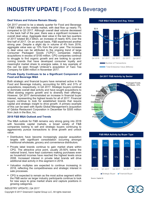## **INDUSTRY UPDATE |** Food & Beverage

#### **Deal Values and Volume Remain Steady**

Q4 2017 proved to be a steady quarter for Food and Beverage ("F&B") M&A in the middle market, with deal flow up nearly 7% compared to Q3 2017. Although overall deal volume decreased in the back half of the year, there was a significant increase in overall deal value. Aggregate deal value in the last two quarters of 2017 totaled \$5.3 billion, an increase of nearly 40% over the first half of 2017. On an annual basis, F&B experienced another strong year. Despite a slight dip in volume of 4% from 2016, aggregate value was up 13% from the prior year. The increase in deal value can be attributed to the ongoing trend of large Consumer Packaged Goods ("CPG") companies making acquisitions in excess of \$100 million. CPG companies continue to struggle to find organic growth and are looking to up-andcoming brands that have developed consumer loyalty and meaningful market share to energize sales. A key example of this can be seen through Unilever's acquisition of Tazo Tea Company for \$384 million in November 2017.

#### **Private Equity Continues to be a Significant Component of Food and Beverage M&A**

Both strategic and financial buyers have remained active in the Food and Beverage industry, accounting for 69% and 31% of acquisitions, respectively, in Q4 2017. Strategic buyers continue to dominate overall deal activity and have sought acquisitions to offset slowing organic growth and to diversify their offerings. However, Q4 2017 demonstrated an increase in financial buyer interest, representing the highest levels for all of 2017. Financial buyers continue to look for established brands that require capital and strategic insight to drive growth. A primary example of this can be seen with Apollo Global Management's acquisition of Qdoba Restaurant Corporation in December for \$305 million from Jack in the Box, Inc.

#### **2018 F&B M&A Outlook and Trends**

The M&A outlook for F&B remains very strong going into 2018 with favorable capital markets, a broad variety of F&B companies looking to sell and strategic buyers continuing to aggressively pursue transactions to drive growth and unlock value.

- Distributors have become increasingly popular acquisition targets with significant consolidation occurring amongst traditional wholesale, grocery and convenience distributors.
- Private label brands continue to gain market share within CPG. The attractive price point, usually 25-50% below the national brand, have kept customers making purchases even as household incomes have reached the highest levels since 2008. Increased interest in private label brands will drive additional deal activity in this segment in 2018.
- Valuation multiples are expected to continue increasing in 2018, reflecting the competitiveness and strategic interest in sale processes.
- CPG is expected to remain as the most active segment within the F&B sector as larger industry participants continue to look for new ways to grow market share and capture positions in growing categories.



**F&B M&A Volume and Avg. Value**

**Q4 2017 F&B Activity by Sector** 



**F&B M&A Activity by Buyer Type**



Source: Capital IQ



#### INDUSTRY UPDATE | Q4 2017

Copyright © 2017 Greenwich Capital Group LLC, All rights reserved.